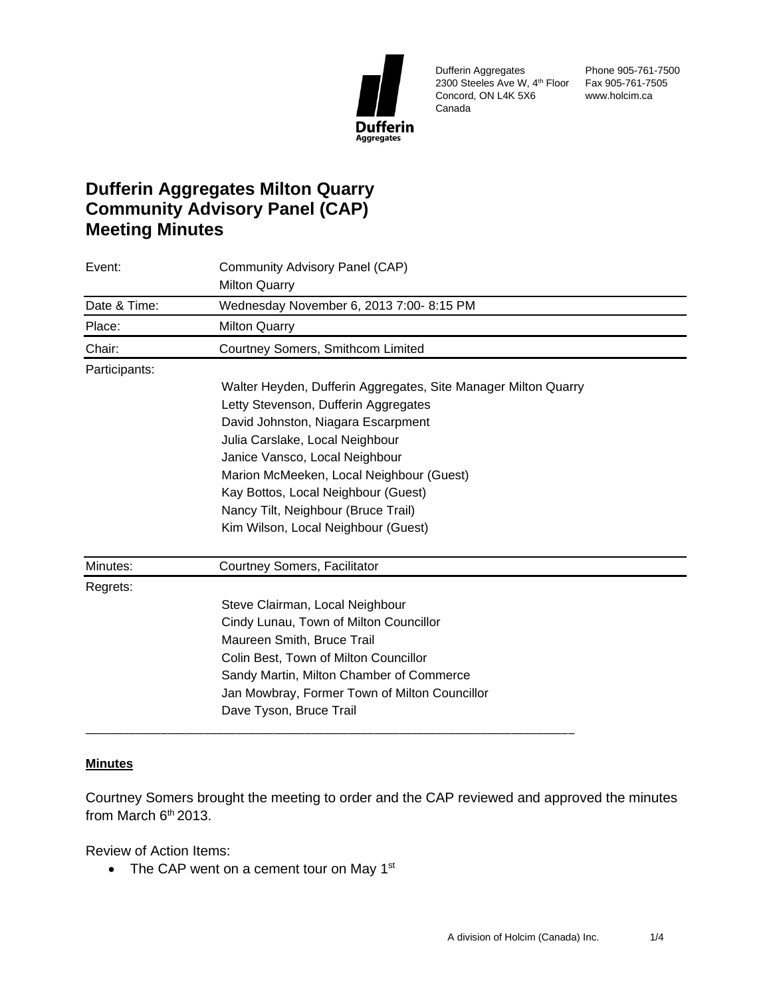

Dufferin Aggregates 2300 Steeles Ave W, 4th Floor Fax 905-761-7505 Concord, ON L4K 5X6 Canada

Phone 905-761-7500 www.holcim.ca

# **Dufferin Aggregates Milton Quarry Community Advisory Panel (CAP) Meeting Minutes**

| Event:        | Community Advisory Panel (CAP)                                 |
|---------------|----------------------------------------------------------------|
|               | <b>Milton Quarry</b>                                           |
| Date & Time:  | Wednesday November 6, 2013 7:00- 8:15 PM                       |
| Place:        | <b>Milton Quarry</b>                                           |
| Chair:        | Courtney Somers, Smithcom Limited                              |
| Participants: |                                                                |
|               | Walter Heyden, Dufferin Aggregates, Site Manager Milton Quarry |
|               | Letty Stevenson, Dufferin Aggregates                           |
|               | David Johnston, Niagara Escarpment                             |
|               | Julia Carslake, Local Neighbour                                |
|               | Janice Vansco, Local Neighbour                                 |
|               | Marion McMeeken, Local Neighbour (Guest)                       |
|               | Kay Bottos, Local Neighbour (Guest)                            |
|               | Nancy Tilt, Neighbour (Bruce Trail)                            |
|               | Kim Wilson, Local Neighbour (Guest)                            |
| Minutes:      | Courtney Somers, Facilitator                                   |
| Regrets:      |                                                                |
|               | Steve Clairman, Local Neighbour                                |
|               | Cindy Lunau, Town of Milton Councillor                         |
|               | Maureen Smith, Bruce Trail                                     |
|               | Colin Best, Town of Milton Councillor                          |
|               | Sandy Martin, Milton Chamber of Commerce                       |
|               | Jan Mowbray, Former Town of Milton Councillor                  |
|               | Dave Tyson, Bruce Trail                                        |

## **Minutes**

Courtney Somers brought the meeting to order and the CAP reviewed and approved the minutes from March  $6<sup>th</sup> 2013$ .

Review of Action Items:

• The CAP went on a cement tour on May  $1<sup>st</sup>$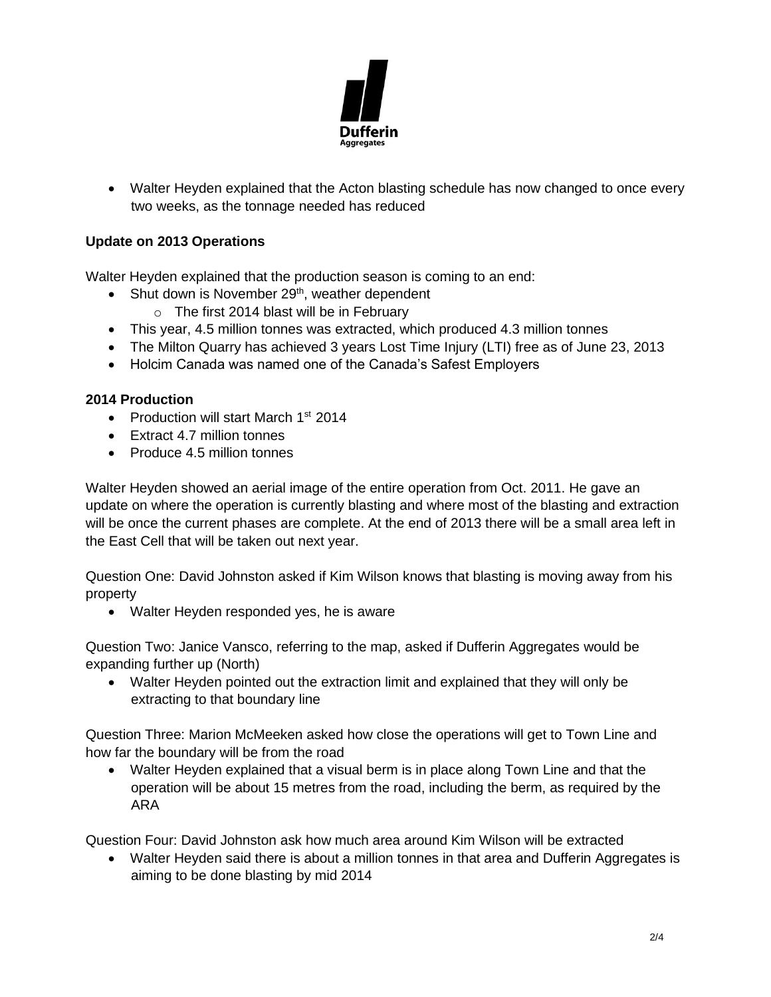

• Walter Heyden explained that the Acton blasting schedule has now changed to once every two weeks, as the tonnage needed has reduced

## **Update on 2013 Operations**

Walter Heyden explained that the production season is coming to an end:

- Shut down is November  $29<sup>th</sup>$ , weather dependent
	- $\circ$  The first 2014 blast will be in February
- This year, 4.5 million tonnes was extracted, which produced 4.3 million tonnes
- The Milton Quarry has achieved 3 years Lost Time Injury (LTI) free as of June 23, 2013
- Holcim Canada was named one of the Canada's Safest Employers

## **2014 Production**

- Production will start March 1<sup>st</sup> 2014
- Extract 4.7 million tonnes
- Produce 4.5 million tonnes

Walter Heyden showed an aerial image of the entire operation from Oct. 2011. He gave an update on where the operation is currently blasting and where most of the blasting and extraction will be once the current phases are complete. At the end of 2013 there will be a small area left in the East Cell that will be taken out next year.

Question One: David Johnston asked if Kim Wilson knows that blasting is moving away from his property

• Walter Heyden responded yes, he is aware

Question Two: Janice Vansco, referring to the map, asked if Dufferin Aggregates would be expanding further up (North)

• Walter Heyden pointed out the extraction limit and explained that they will only be extracting to that boundary line

Question Three: Marion McMeeken asked how close the operations will get to Town Line and how far the boundary will be from the road

• Walter Heyden explained that a visual berm is in place along Town Line and that the operation will be about 15 metres from the road, including the berm, as required by the ARA

Question Four: David Johnston ask how much area around Kim Wilson will be extracted

• Walter Heyden said there is about a million tonnes in that area and Dufferin Aggregates is aiming to be done blasting by mid 2014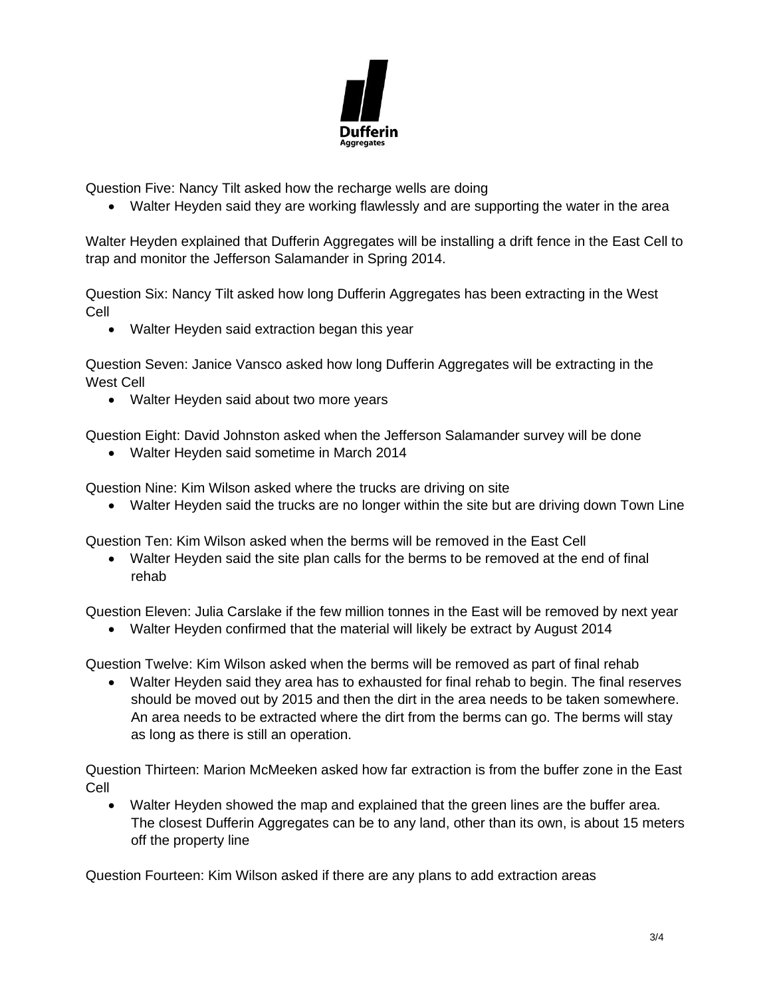

Question Five: Nancy Tilt asked how the recharge wells are doing

• Walter Heyden said they are working flawlessly and are supporting the water in the area

Walter Heyden explained that Dufferin Aggregates will be installing a drift fence in the East Cell to trap and monitor the Jefferson Salamander in Spring 2014.

Question Six: Nancy Tilt asked how long Dufferin Aggregates has been extracting in the West Cell

• Walter Heyden said extraction began this year

Question Seven: Janice Vansco asked how long Dufferin Aggregates will be extracting in the West Cell

• Walter Heyden said about two more years

Question Eight: David Johnston asked when the Jefferson Salamander survey will be done

• Walter Heyden said sometime in March 2014

Question Nine: Kim Wilson asked where the trucks are driving on site

• Walter Heyden said the trucks are no longer within the site but are driving down Town Line

Question Ten: Kim Wilson asked when the berms will be removed in the East Cell

• Walter Heyden said the site plan calls for the berms to be removed at the end of final rehab

Question Eleven: Julia Carslake if the few million tonnes in the East will be removed by next year

• Walter Heyden confirmed that the material will likely be extract by August 2014

Question Twelve: Kim Wilson asked when the berms will be removed as part of final rehab

• Walter Heyden said they area has to exhausted for final rehab to begin. The final reserves should be moved out by 2015 and then the dirt in the area needs to be taken somewhere. An area needs to be extracted where the dirt from the berms can go. The berms will stay as long as there is still an operation.

Question Thirteen: Marion McMeeken asked how far extraction is from the buffer zone in the East Cell

• Walter Heyden showed the map and explained that the green lines are the buffer area. The closest Dufferin Aggregates can be to any land, other than its own, is about 15 meters off the property line

Question Fourteen: Kim Wilson asked if there are any plans to add extraction areas